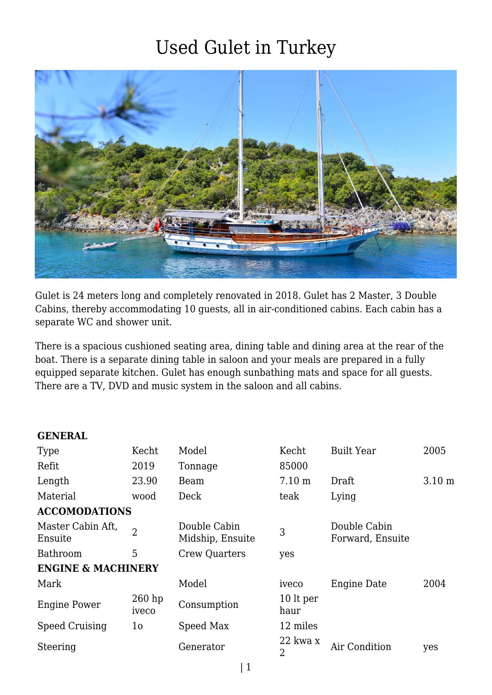

Gulet is 24 meters long and completely renovated in 2018. Gulet has 2 Master, 3 Double Cabins, thereby accommodating 10 guests, all in air-conditioned cabins. Each cabin has a separate WC and shower unit.

There is a spacious cushioned seating area, dining table and dining area at the rear of the boat. There is a separate dining table in saloon and your meals are prepared in a fully equipped separate kitchen. Gulet has enough sunbathing mats and space for all guests. There are a TV, DVD and music system in the saloon and all cabins.

#### **GENERAL**

| <b>Type</b>                   | Kecht             | Model                            | Kecht                      | <b>Built Year</b>                | 2005              |  |  |  |  |
|-------------------------------|-------------------|----------------------------------|----------------------------|----------------------------------|-------------------|--|--|--|--|
| Refit                         | 2019              | Tonnage                          | 85000                      |                                  |                   |  |  |  |  |
| Length                        | 23.90             | Beam                             | $7.10 \text{ m}$           | Draft                            | 3.10 <sub>m</sub> |  |  |  |  |
| Material                      | wood              | Deck                             | teak                       | Lying                            |                   |  |  |  |  |
| <b>ACCOMODATIONS</b>          |                   |                                  |                            |                                  |                   |  |  |  |  |
| Master Cabin Aft,<br>Ensuite  | $\overline{2}$    | Double Cabin<br>Midship, Ensuite | 3                          | Double Cabin<br>Forward, Ensuite |                   |  |  |  |  |
| <b>Bathroom</b>               | 5                 | <b>Crew Quarters</b>             | yes                        |                                  |                   |  |  |  |  |
| <b>ENGINE &amp; MACHINERY</b> |                   |                                  |                            |                                  |                   |  |  |  |  |
| Mark                          |                   | Model                            | iveco                      | <b>Engine Date</b>               | 2004              |  |  |  |  |
| <b>Engine Power</b>           | $260$ hp<br>iveco | Consumption                      | 10 lt per<br>haur          |                                  |                   |  |  |  |  |
| <b>Speed Cruising</b>         | 1o                | Speed Max                        | 12 miles                   |                                  |                   |  |  |  |  |
| Steering                      |                   | Generator                        | 22 kwa x<br>$\overline{2}$ | Air Condition                    | yes               |  |  |  |  |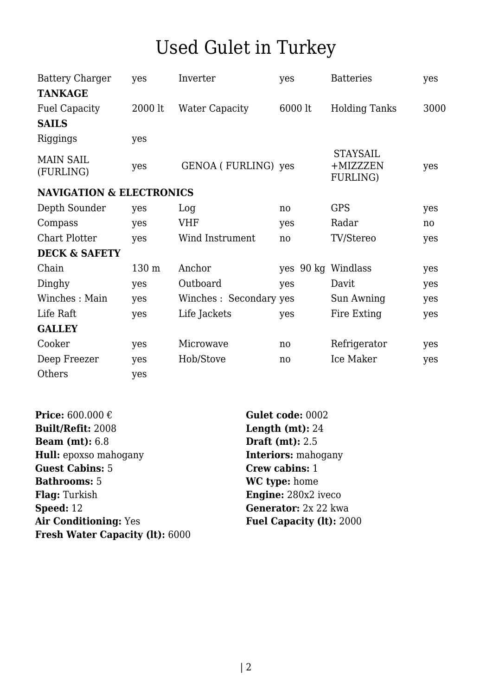| <b>Battery Charger</b>              | yes     | Inverter               | yes     | <b>Batteries</b>                        | yes  |
|-------------------------------------|---------|------------------------|---------|-----------------------------------------|------|
| <b>TANKAGE</b>                      |         |                        |         |                                         |      |
| <b>Fuel Capacity</b>                | 2000 lt | <b>Water Capacity</b>  | 6000 lt | <b>Holding Tanks</b>                    | 3000 |
| <b>SAILS</b>                        |         |                        |         |                                         |      |
| Riggings                            | yes     |                        |         |                                         |      |
| <b>MAIN SAIL</b><br>(FURLING)       | yes     | GENOA (FURLING) yes    |         | <b>STAYSAIL</b><br>+MIZZZEN<br>FURLING) | yes  |
| <b>NAVIGATION &amp; ELECTRONICS</b> |         |                        |         |                                         |      |
| Depth Sounder                       | yes     | Log                    | no      | <b>GPS</b>                              | yes  |
| Compass                             | yes     | <b>VHF</b>             | yes     | Radar                                   | no.  |
| <b>Chart Plotter</b>                | yes     | Wind Instrument        | no      | TV/Stereo                               | yes  |
| <b>DECK &amp; SAFETY</b>            |         |                        |         |                                         |      |
| Chain                               | 130 m   | Anchor                 | yes     | 90 kg Windlass                          | yes  |
| Dinghy                              | yes     | Outboard               | yes     | Davit                                   | yes  |
| Winches: Main                       | yes     | Winches: Secondary yes |         | Sun Awning                              | yes  |
| Life Raft                           | yes     | Life Jackets           | yes     | Fire Exting                             | yes  |
| <b>GALLEY</b>                       |         |                        |         |                                         |      |
| Cooker                              | yes     | Microwave              | no      | Refrigerator                            | yes  |
| Deep Freezer                        | yes     | Hob/Stove              | no      | Ice Maker                               | yes  |
| Others                              | yes     |                        |         |                                         |      |

**Price:** 600.000 € **Gulet code:** 0002 **Built/Refit:** 2008 **Length (mt):** 24 **Beam (mt):** 6.8 **Draft (mt):** 2.5 **Hull:** epoxso mahogany **Interiors:** mahogany **Guest Cabins:** 5 **Crew cabins:** 1 **Bathrooms:** 5 **WC type:** home **Flag:** Turkish **Engine:** 280x2 iveco **Speed:** 12 **Generator:** 2x 22 kwa **Air Conditioning:** Yes **Fuel Capacity (lt):** 2000 **Fresh Water Capacity (lt):** 6000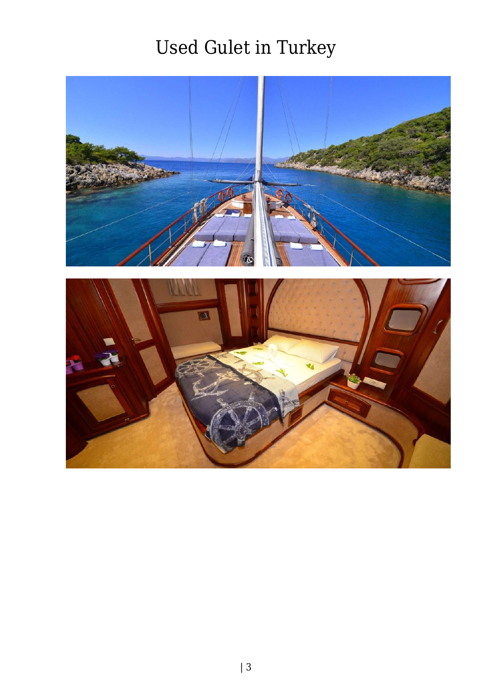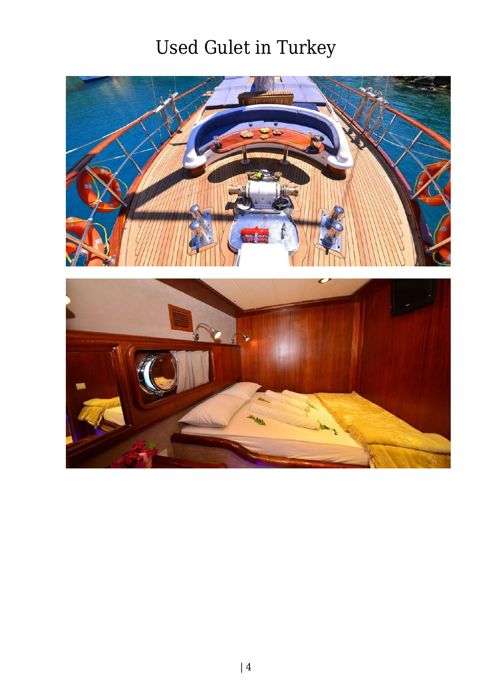

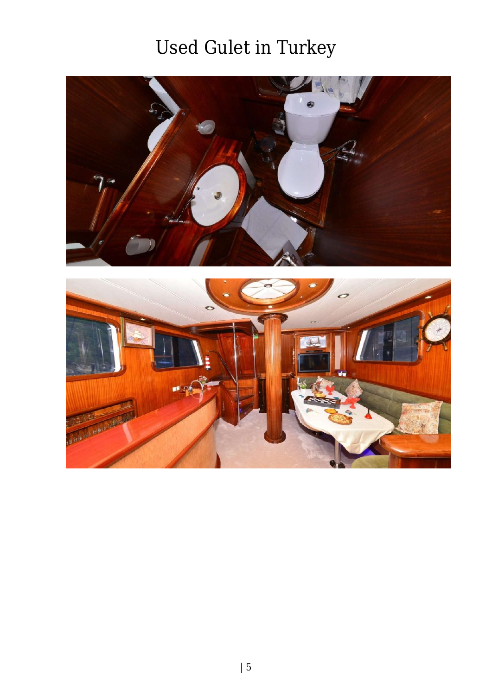